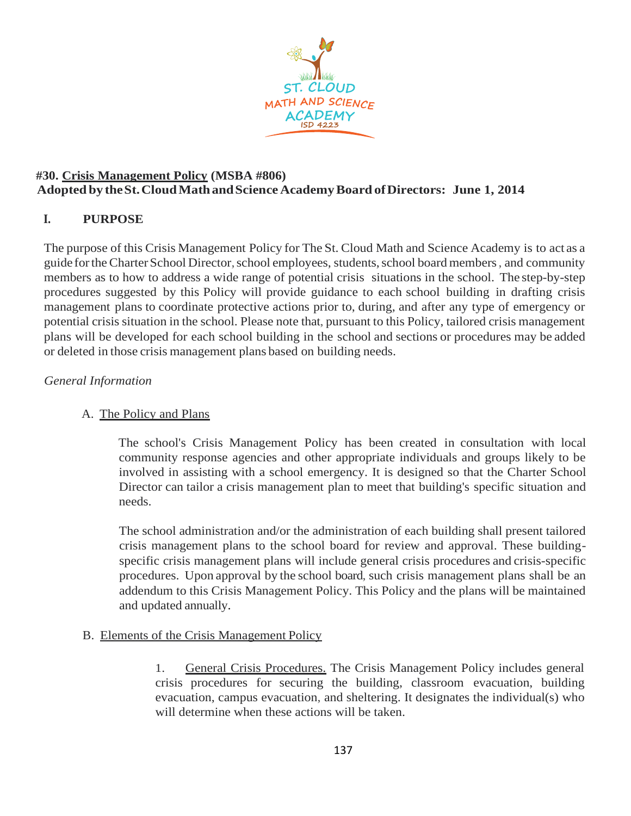

# **#30. Crisis Management Policy (MSBA #806) Adopted by theSt.CloudMathandScience AcademyBoard ofDirectors: June 1, 2014**

# **I. PURPOSE**

The purpose of this Crisis Management Policy for The St. Cloud Math and Science Academy is to act as a guide for the Charter School Director, school employees, students, school board members, and community members as to how to address a wide range of potential crisis situations in the school. The step-by-step procedures suggested by this Policy will provide guidance to each school building in drafting crisis management plans to coordinate protective actions prior to, during, and after any type of emergency or potential crisis situation in the school. Please note that, pursuant to this Policy, tailored crisis management plans will be developed for each school building in the school and sections or procedures may be added or deleted in those crisis management plans based on building needs.

### *General Information*

### A. The Policy and Plans

The school's Crisis Management Policy has been created in consultation with local community response agencies and other appropriate individuals and groups likely to be involved in assisting with a school emergency. It is designed so that the Charter School Director can tailor a crisis management plan to meet that building's specific situation and needs.

The school administration and/or the administration of each building shall present tailored crisis management plans to the school board for review and approval. These buildingspecific crisis management plans will include general crisis procedures and crisis-specific procedures. Upon approval by the school board, such crisis management plans shall be an addendum to this Crisis Management Policy. This Policy and the plans will be maintained and updated annually.

### B. Elements of the Crisis Management Policy

1. General Crisis Procedures. The Crisis Management Policy includes general crisis procedures for securing the building, classroom evacuation, building evacuation, campus evacuation, and sheltering. It designates the individual(s) who will determine when these actions will be taken.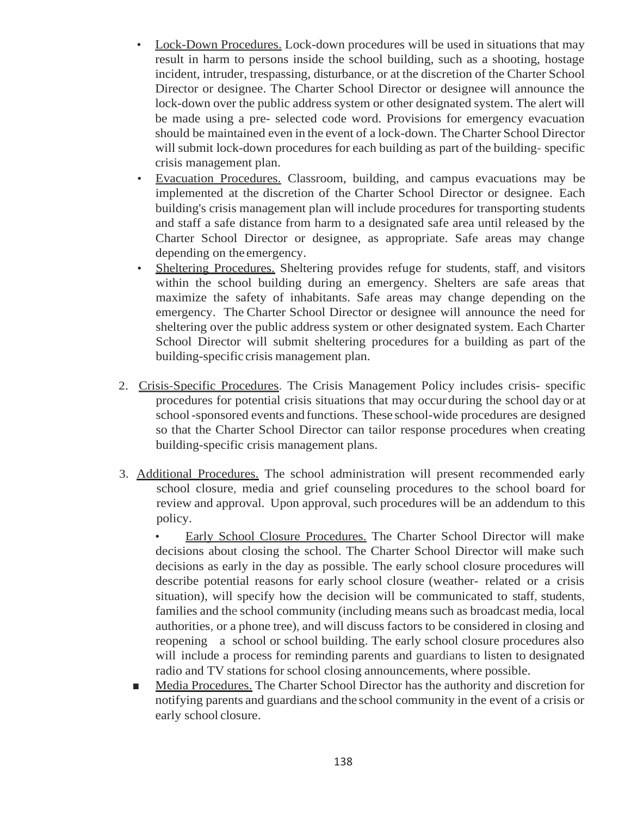- Lock-Down Procedures. Lock-down procedures will be used in situations that may result in harm to persons inside the school building, such as a shooting, hostage incident, intruder, trespassing, disturbance, or at the discretion of the Charter School Director or designee. The Charter School Director or designee will announce the lock-down over the public address system or other designated system. The alert will be made using a pre- selected code word. Provisions for emergency evacuation should be maintained even in the event of a lock-down. TheCharter School Director will submit lock-down procedures for each building as part of the building-specific crisis management plan.
- Evacuation Procedures. Classroom, building, and campus evacuations may be implemented at the discretion of the Charter School Director or designee. Each building's crisis management plan will include procedures for transporting students and staff a safe distance from harm to a designated safe area until released by the Charter School Director or designee, as appropriate. Safe areas may change depending on the emergency.
- Sheltering Procedures. Sheltering provides refuge for students, staff, and visitors within the school building during an emergency. Shelters are safe areas that maximize the safety of inhabitants. Safe areas may change depending on the emergency. The Charter School Director or designee will announce the need for sheltering over the public address system or other designated system. Each Charter School Director will submit sheltering procedures for a building as part of the building-specific crisis management plan.
- 2. Crisis-Specific Procedures. The Crisis Management Policy includes crisis- specific procedures for potential crisis situations that may occur during the school day or at school-sponsored events and functions. These school-wide procedures are designed so that the Charter School Director can tailor response procedures when creating building-specific crisis management plans.
- 3. Additional Procedures. The school administration will present recommended early school closure, media and grief counseling procedures to the school board for review and approval. Upon approval, such procedures will be an addendum to this policy.

• Early School Closure Procedures. The Charter School Director will make decisions about closing the school. The Charter School Director will make such decisions as early in the day as possible. The early school closure procedures will describe potential reasons for early school closure (weather- related or a crisis situation), will specify how the decision will be communicated to staff, students, families and the school community (including means such as broadcast media, local authorities, or a phone tree), and will discuss factors to be considered in closing and reopening a school or school building. The early school closure procedures also will include a process for reminding parents and guardians to listen to designated radio and TV stations for school closing announcements, where possible.

■ Media Procedures. The Charter School Director has the authority and discretion for notifying parents and guardians and the school community in the event of a crisis or early school closure.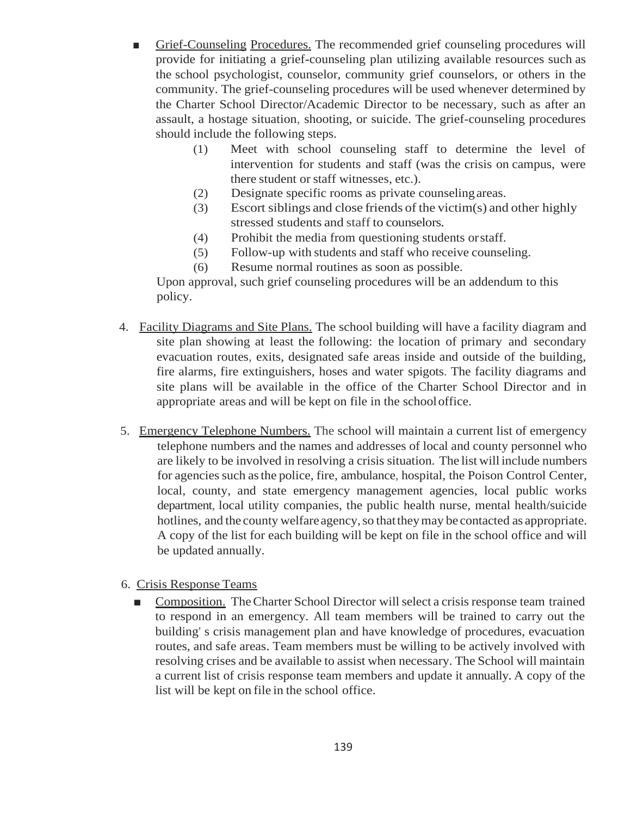- Grief-Counseling Procedures. The recommended grief counseling procedures will provide for initiating a grief-counseling plan utilizing available resources such as the school psychologist, counselor, community grief counselors, or others in the community. The grief-counseling procedures will be used whenever determined by the Charter School Director/Academic Director to be necessary, such as after an assault, a hostage situation, shooting, or suicide. The grief-counseling procedures should include the following steps.
	- (1) Meet with school counseling staff to determine the level of intervention for students and staff (was the crisis on campus, were there student or staff witnesses, etc.).
	- (2) Designate specific rooms as private counselingareas.
	- (3) Escort siblings and close friends of the victim(s) and other highly stressed students and staff to counselors.
	- (4) Prohibit the media from questioning students orstaff.
	- (5) Follow-up with students and staff who receive counseling.
	- (6) Resume normal routines as soon as possible.

Upon approval, such grief counseling procedures will be an addendum to this policy.

- 4. Facility Diagrams and Site Plans. The school building will have a facility diagram and site plan showing at least the following: the location of primary and secondary evacuation routes, exits, designated safe areas inside and outside of the building, fire alarms, fire extinguishers, hoses and water spigots. The facility diagrams and site plans will be available in the office of the Charter School Director and in appropriate areas and will be kept on file in the schooloffice.
- 5. Emergency Telephone Numbers. The school will maintain a current list of emergency telephone numbers and the names and addresses of local and county personnel who are likely to be involved in resolving a crisis situation. The list will include numbers for agencies such as the police, fire, ambulance, hospital, the Poison Control Center, local, county, and state emergency management agencies, local public works department, local utility companies, the public health nurse, mental health/suicide hotlines, and the county welfare agency, so that they may be contacted as appropriate. A copy of the list for each building will be kept on file in the school office and will be updated annually.

### 6. Crisis Response Teams

■ Composition. The Charter School Director will select a crisis response team trained to respond in an emergency. All team members will be trained to carry out the building' s crisis management plan and have knowledge of procedures, evacuation routes, and safe areas. Team members must be willing to be actively involved with resolving crises and be available to assist when necessary. The School will maintain a current list of crisis response team members and update it annually. A copy of the list will be kept on file in the school office.